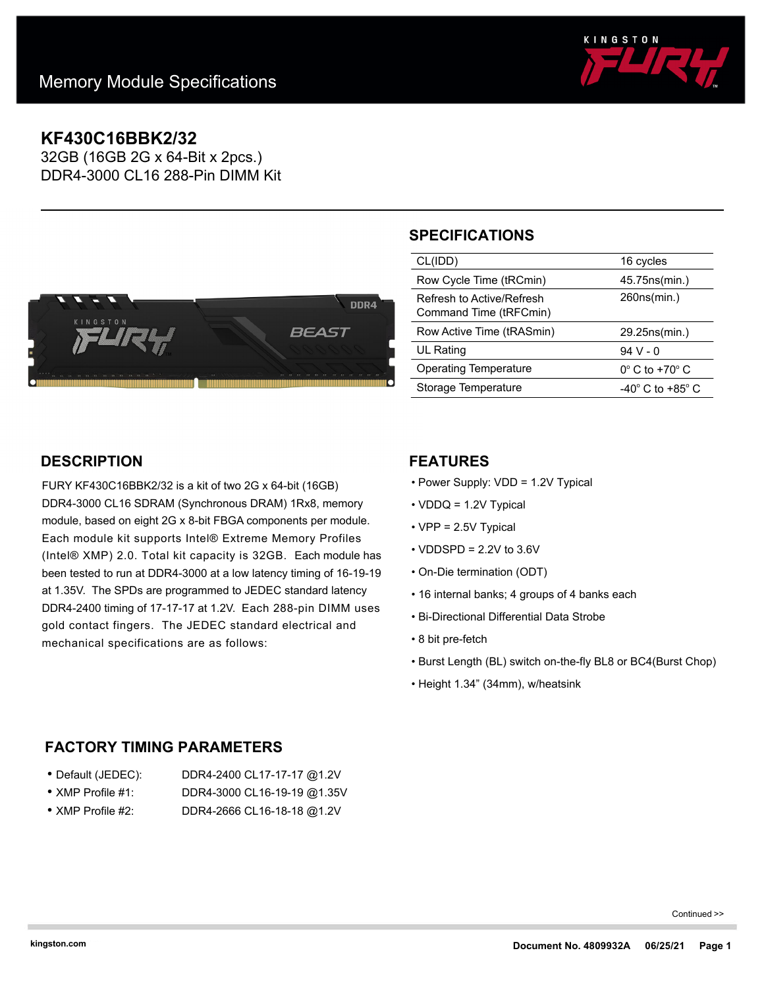

# **KF430C16BBK2/32**

32GB (16GB 2G x 64-Bit x 2pcs.) DDR4-3000 CL16 288-Pin DIMM Kit



# **SPECIFICATIONS**

| CL(IDD)                                             | 16 cycles                     |
|-----------------------------------------------------|-------------------------------|
| Row Cycle Time (tRCmin)                             | 45.75ns(min.)                 |
| Refresh to Active/Refresh<br>Command Time (tRFCmin) | 260ns(min.)                   |
| Row Active Time (tRASmin)                           | 29.25ns(min.)                 |
| <b>UL Rating</b>                                    | 94 V - 0                      |
| <b>Operating Temperature</b>                        | $0^\circ$ C to +70 $^\circ$ C |
| Storage Temperature                                 | -40° C to +85° C              |

## **DESCRIPTION**

FURY KF430C16BBK2/32 is a kit of two 2G x 64-bit (16GB) DDR4-3000 CL16 SDRAM (Synchronous DRAM) 1Rx8, memory module, based on eight 2G x 8-bit FBGA components per module. Each module kit supports Intel® Extreme Memory Profiles (Intel® XMP) 2.0. Total kit capacity is 32GB. Each module has been tested to run at DDR4-3000 at a low latency timing of 16-19-19 at 1.35V. The SPDs are programmed to JEDEC standard latency DDR4-2400 timing of 17-17-17 at 1.2V. Each 288-pin DIMM uses gold contact fingers. The JEDEC standard electrical and mechanical specifications are as follows:

## **FEATURES**

- Power Supply: VDD = 1.2V Typical
- VDDQ = 1.2V Typical
- VPP = 2.5V Typical
- $\cdot$  VDDSPD = 2.2V to 3.6V
- On-Die termination (ODT)
- 16 internal banks; 4 groups of 4 banks each
- Bi-Directional Differential Data Strobe
- 8 bit pre-fetch
- Burst Length (BL) switch on-the-fly BL8 or BC4(Burst Chop)
- Height 1.34" (34mm), w/heatsink

## **FACTORY TIMING PARAMETERS**

| ● Default (JEDEC):                   | DDR4-2400 CL17-17-17 @1.2V           |
|--------------------------------------|--------------------------------------|
| $\sim$ VN ID D. $\sim$ CL $\sim$ HA. | $DDA$ 0000 $Q1$ 40 40 40 $Q3$ 0 $U1$ |

- XMP Profile #1: DDR4-3000 CL16-19-19 @1.35V
- XMP Profile #2: DDR4-2666 CL16-18-18 @1.2V